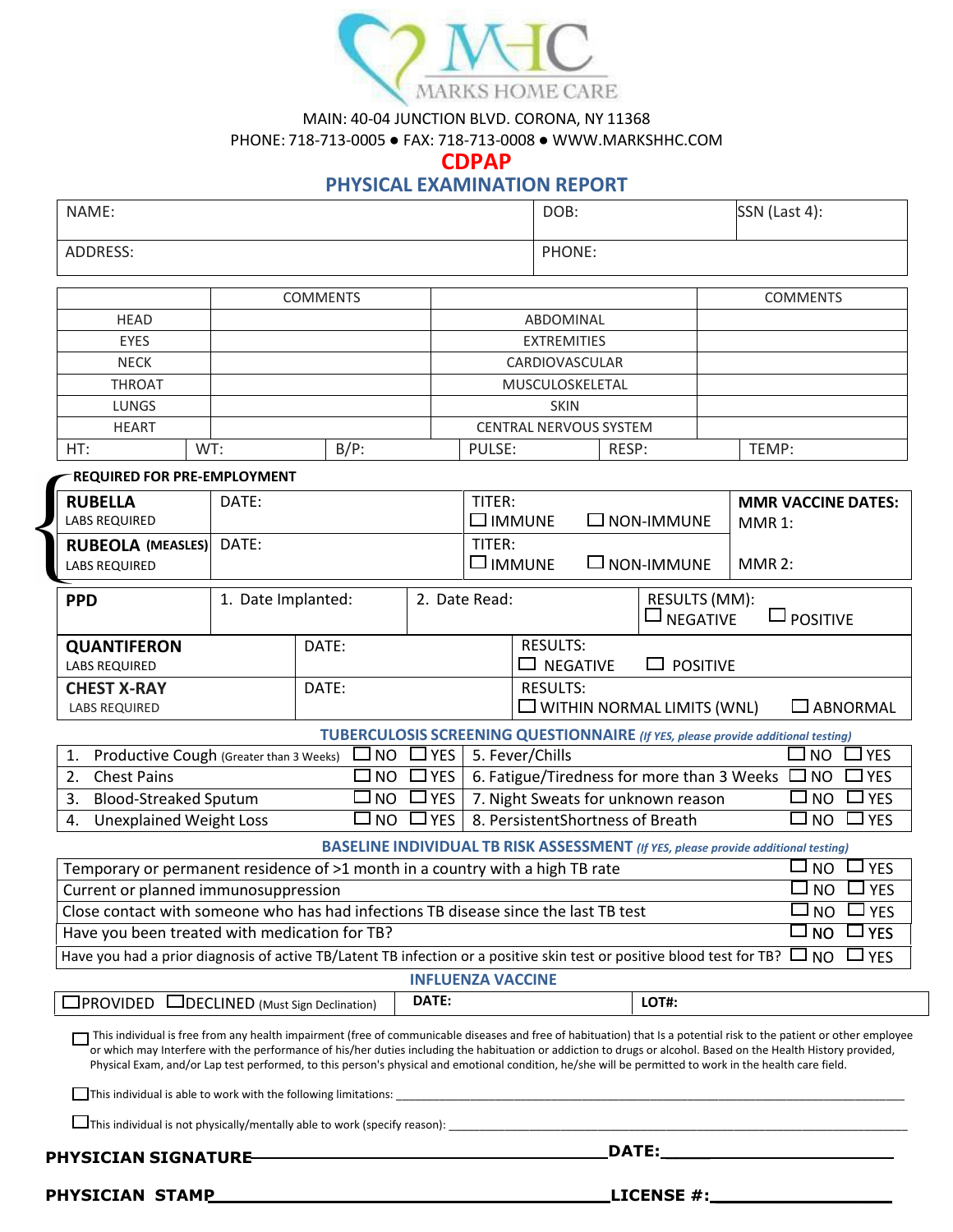

MAIN: 40-04 JUNCTION BLVD. CORONA, NY 11368

PHONE: 718-713-0005 ● FAX: 718-713-0008 ● [WWW.MARKSHHC.COM](http://www.markshhc.com/)

**CDPAP**

## **PHYSICAL EXAMINATION REPORT**

| NAME:    | DOB:   | SSN (Last 4): |
|----------|--------|---------------|
| ADDRESS: | PHONE: |               |

|               | <b>COMMENTS</b> |                |                               |       | <b>COMMENTS</b> |
|---------------|-----------------|----------------|-------------------------------|-------|-----------------|
| HEAD          |                 |                | ABDOMINAL                     |       |                 |
| <b>EYES</b>   |                 |                | <b>EXTREMITIES</b>            |       |                 |
| <b>NECK</b>   |                 | CARDIOVASCULAR |                               |       |                 |
| <b>THROAT</b> |                 |                | MUSCULOSKELETAL               |       |                 |
| <b>LUNGS</b>  |                 |                | <b>SKIN</b>                   |       |                 |
| <b>HEART</b>  |                 |                | <b>CENTRAL NERVOUS SYSTEM</b> |       |                 |
| HT:           | WT:             | $B/P$ :        | PULSE:                        | RESP: | TEMP:           |

## **REQUIRED FOR PRE-EMPLOYMENT**

| <b>RUBELLA</b><br><b>LABS REQUIRED</b>                                           | DATE:              |       |  | TITER:<br>$\Box$ IMMUNE<br>$\Box$ NON-IMMUNE |                  | <b>MMR VACCINE DATES:</b><br>MMR 1: |                                   |          |                    |
|----------------------------------------------------------------------------------|--------------------|-------|--|----------------------------------------------|------------------|-------------------------------------|-----------------------------------|----------|--------------------|
| <b>RUBEOLA (MEASLES)</b><br><b>LABS REQUIRED</b>                                 | DATE:              |       |  | TITER:                                       | $\square$ IMMUNE |                                     | $\square$ NON-IMMUNE              | $MMR$ 2: |                    |
| <b>PPD</b>                                                                       | 1. Date Implanted: |       |  | 2. Date Read:                                |                  |                                     | RESULTS (MM):<br>$\Box$ NEGATIVE  |          | $\Box$ POSITIVE    |
| <b>QUANTIFERON</b><br><b>LABS REQUIRED</b>                                       |                    | DATE: |  |                                              | <b>RESULTS:</b>  | NEGATIVE                            | $\Box$ POSITIVE                   |          |                    |
| <b>CHEST X-RAY</b><br><b>LABS REQUIRED</b>                                       |                    | DATE: |  |                                              | <b>RESULTS:</b>  |                                     | $\Box$ WITHIN NORMAL LIMITS (WNL) |          | $\square$ ABNORMAL |
| TUBERCULOSIS SCREENING QUESTIONNAIRE (If YES, please provide additional testing) |                    |       |  |                                              |                  |                                     |                                   |          |                    |

| 1. Productive Cough (Greater than 3 Weeks) $\Box$ NO $\Box$ YES   5. Fever/Chills |                                                                                        | $\Box$ NO $\Box$ YES |
|-----------------------------------------------------------------------------------|----------------------------------------------------------------------------------------|----------------------|
| 2. Chest Pains                                                                    | $\Box$ NO $\Box$ YES   6. Fatigue/Tiredness for more than 3 Weeks $\Box$ NO $\Box$ YES |                      |
| <b>Blood-Streaked Sputum</b>                                                      | $\Box$ NO $\Box$ YES   7. Night Sweats for unknown reason                              | $\Box$ NO $\Box$ YES |
| 4. Unexplained Weight Loss                                                        | $\Box$ NO $\Box$ YES   8. Persistent Shortness of Breath                               | $\Box$ NO $\Box$ YES |

## **BASELINE INDIVIDUAL TB RISK ASSESSMENT** *(If YES, please provide additional testing)*

| Temporary or permanent residence of >1 month in a country with a high TB rate                                                               | $\Box$ NO $\Box$ YES       |  |
|---------------------------------------------------------------------------------------------------------------------------------------------|----------------------------|--|
| Current or planned immunosuppression                                                                                                        | $\Box$ NO $\Box$ YES       |  |
| Close contact with someone who has had infections TB disease since the last TB test                                                         | $\Box$ NO $\Box$ YES       |  |
| Have you been treated with medication for TB?                                                                                               | $\square$ NO $\square$ YES |  |
| Have you had a prior diagnosis of active TB/Latent TB infection or a positive skin test or positive blood test for TB? $\Box$ NO $\Box$ YES |                            |  |
| <b>INFLUENZA VACCINE</b>                                                                                                                    |                            |  |

This individual is free from any health impairment (free of communicable diseases and free of habituation) that Is a potential risk to the patient or other employee or which may Interfere with the performance of his/her duties including the habituation or addiction to drugs or alcohol. Based on the Health History provided, Physical Exam, and/or Lap test performed, to this person's physical and emotional condition, he/she will be permitted to work in the health care field.

 $\Box$  This individual is able to work with the following limitations:  $\Box$ 

 $\Box$ This individual is not physically/mentally able to work (specify reason):  $\_$ 

 **PHYSICIAN SIGNATURE**<br> **PHYSICIAN SIGNATURE** 

**PHYSICIAN STAMP LICENSE #: \_\_\_\_\_\_\_\_\_\_\_\_\_\_\_\_**